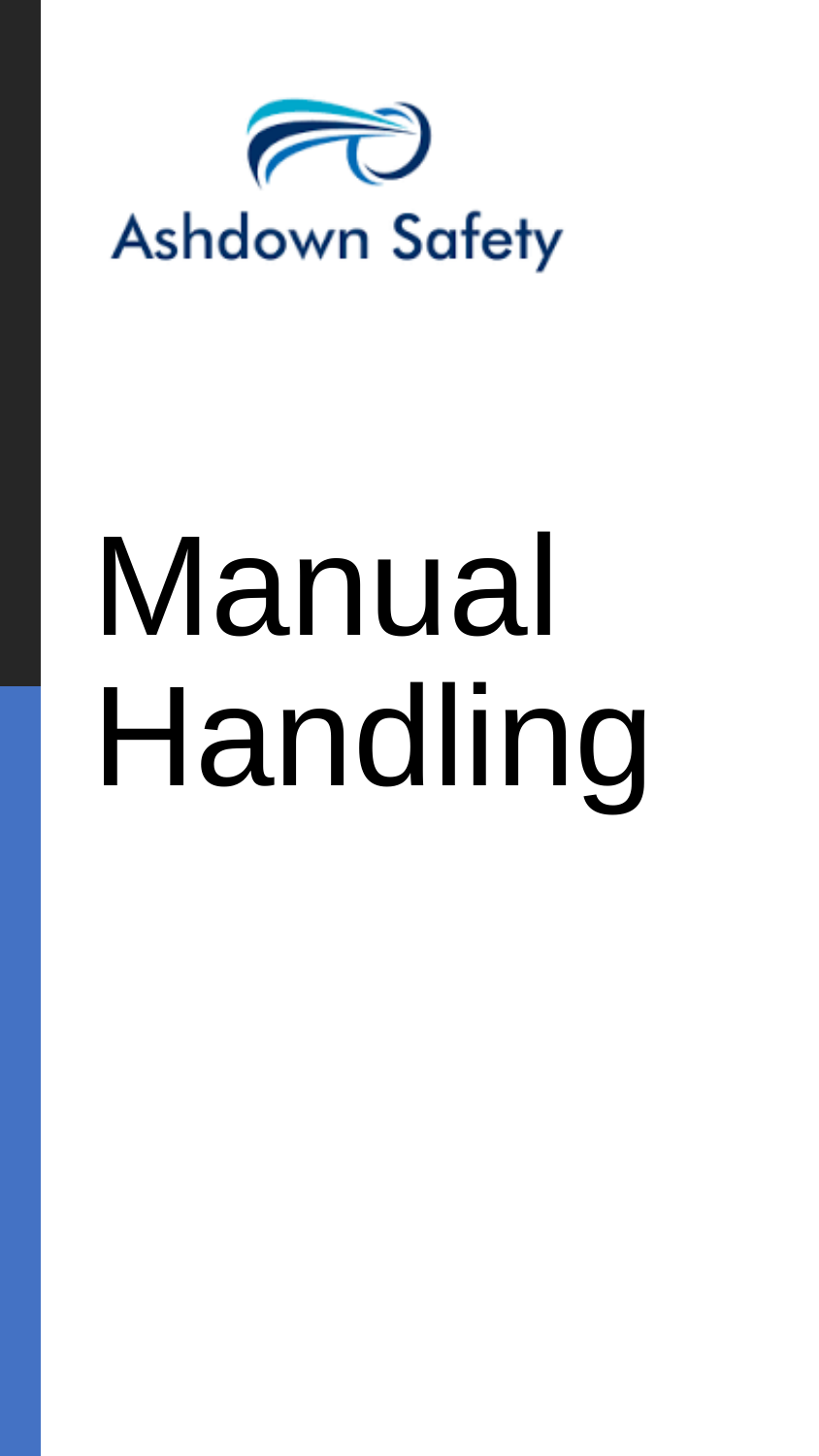

# Manual Handling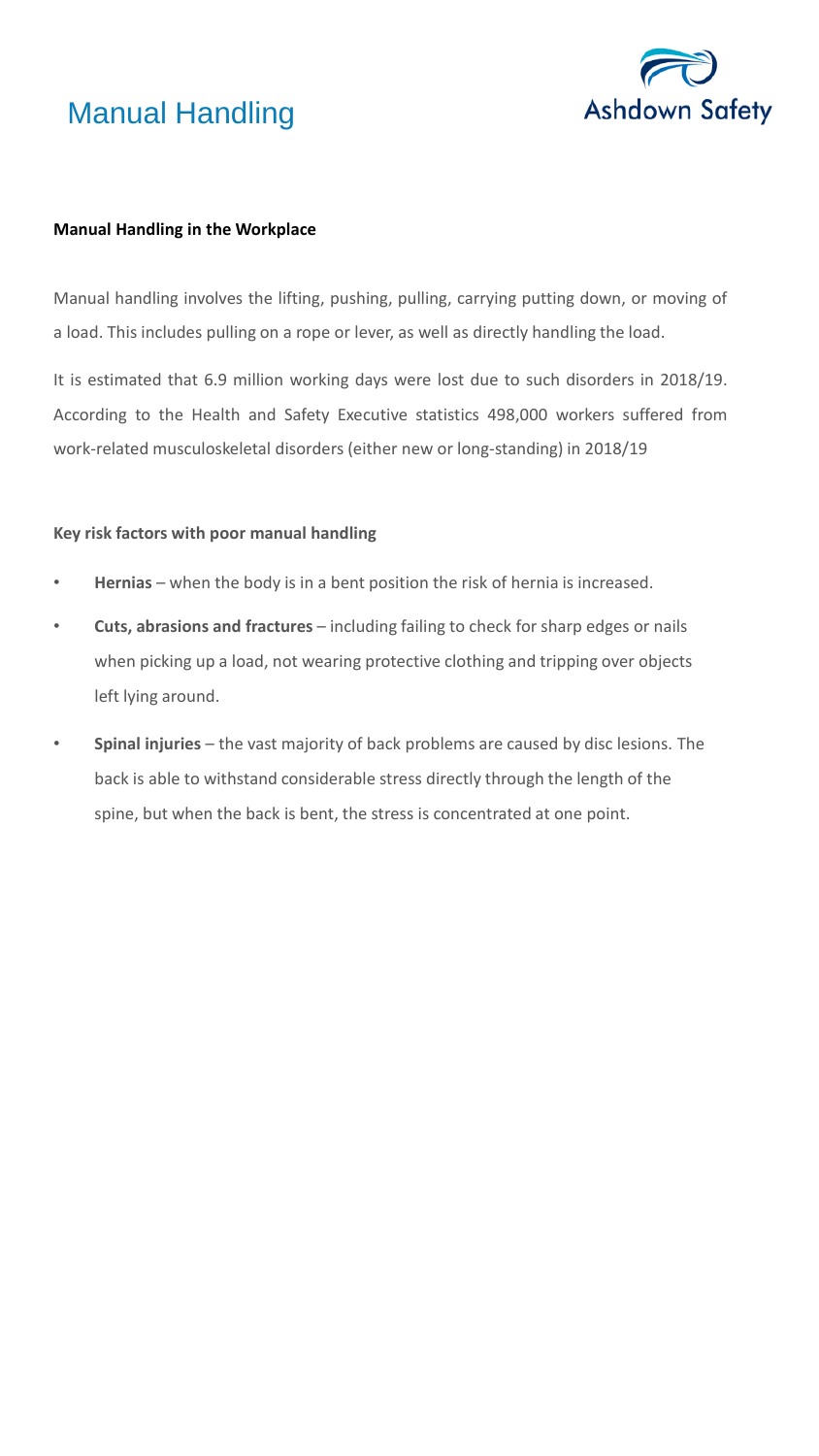



### **Manual Handling in the Workplace**

Manual handling involves the lifting, pushing, pulling, carrying putting down, or moving of a load. This includes pulling on a rope or lever, as well as directly handling the load.

It is estimated that 6.9 million working days were lost due to such disorders in 2018/19. According to the Health and Safety Executive statistics 498,000 workers suffered from work-related musculoskeletal disorders (either new or long-standing) in 2018/19

### **Key risk factors with poor manual handling**

- **Hernias** when the body is in a bent position the risk of hernia is increased.
- **Cuts, abrasions and fractures** including failing to check for sharp edges or nails when picking up a load, not wearing protective clothing and tripping over objects left lying around.
- **Spinal injuries** the vast majority of back problems are caused by disc lesions. The back is able to withstand considerable stress directly through the length of the spine, but when the back is bent, the stress is concentrated at one point.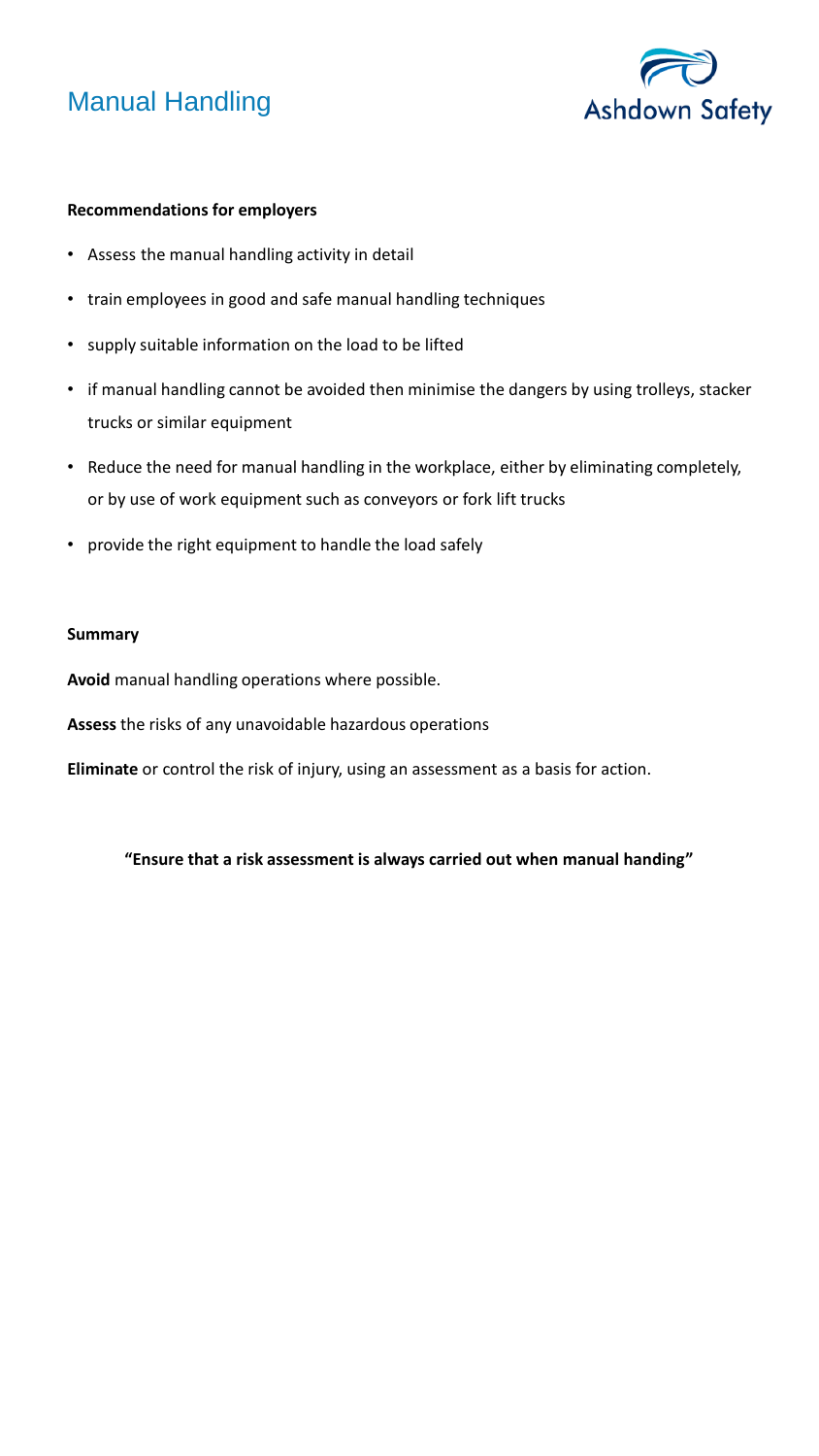## Manual Handling



### **Recommendations for employers**

- Assess the manual handling activity in detail
- train employees in good and safe manual handling techniques
- supply suitable information on the load to be lifted
- if manual handling cannot be avoided then minimise the dangers by using trolleys, stacker trucks or similar equipment
- Reduce the need for manual handling in the workplace, either by eliminating completely, or by use of work equipment such as conveyors or fork lift trucks
- provide the right equipment to handle the load safely

### **Summary**

**Avoid** manual handling operations where possible.

**Assess** the risks of any unavoidable hazardous operations

**Eliminate** or control the risk of injury, using an assessment as a basis for action.

**"Ensure that a risk assessment is always carried out when manual handing"**